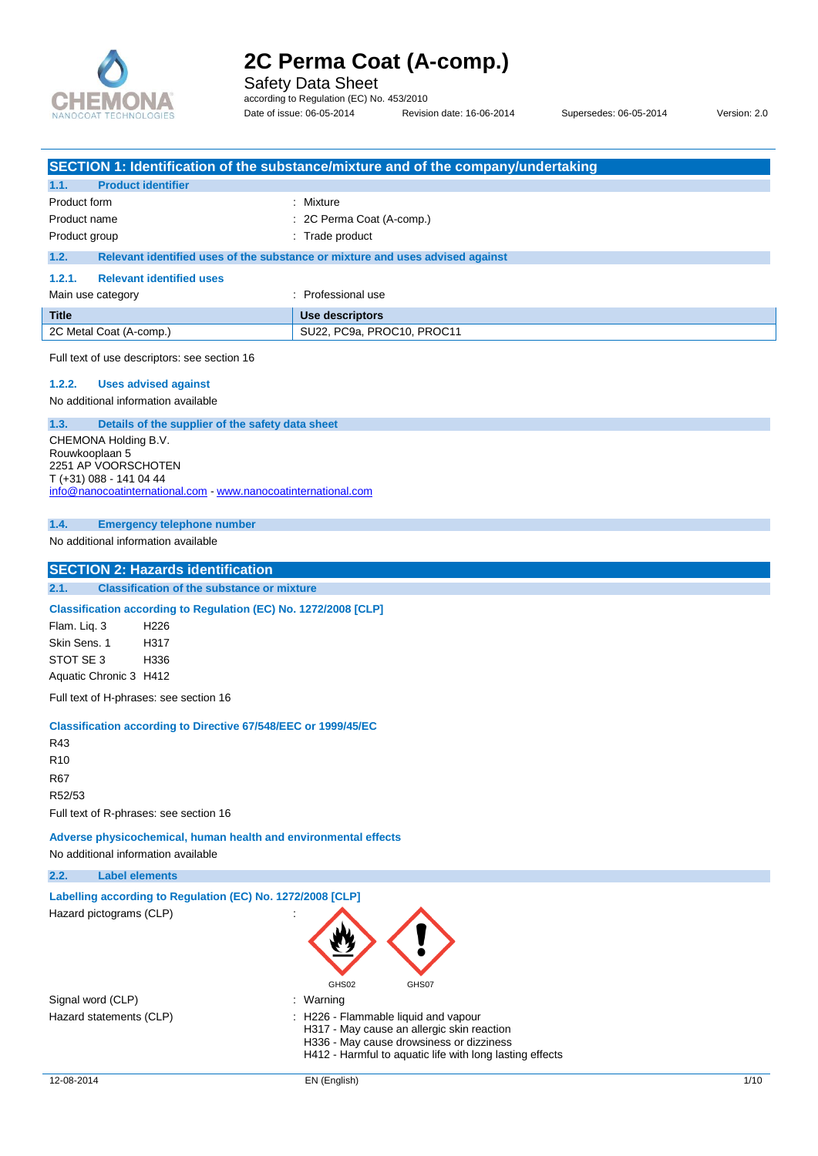

Safety Data Sheet

according to Regulation (EC) No. 453/2010 Date of issue: 06-05-2014 Revision date: 16-06-2014 Supersedes: 06-05-2014 Version: 2.0

|                                                                                       | SECTION 1: Identification of the substance/mixture and of the company/undertaking |
|---------------------------------------------------------------------------------------|-----------------------------------------------------------------------------------|
| <b>Product identifier</b><br>1.1.                                                     |                                                                                   |
| Product form                                                                          | : Mixture                                                                         |
| Product name                                                                          | 2C Perma Coat (A-comp.)                                                           |
| Product group                                                                         | : Trade product                                                                   |
| 1.2.                                                                                  | Relevant identified uses of the substance or mixture and uses advised against     |
| <b>Relevant identified uses</b><br>1.2.1.                                             |                                                                                   |
| Main use category                                                                     | : Professional use                                                                |
| <b>Title</b>                                                                          | Use descriptors                                                                   |
| 2C Metal Coat (A-comp.)                                                               | SU22, PC9a, PROC10, PROC11                                                        |
| Full text of use descriptors: see section 16                                          |                                                                                   |
| 1.2.2.<br><b>Uses advised against</b>                                                 |                                                                                   |
| No additional information available                                                   |                                                                                   |
| 1.3.                                                                                  | Details of the supplier of the safety data sheet                                  |
| CHEMONA Holding B.V.                                                                  |                                                                                   |
| Rouwkooplaan 5<br>2251 AP VOORSCHOTEN                                                 |                                                                                   |
| T (+31) 088 - 141 04 44                                                               |                                                                                   |
|                                                                                       | info@nanocoatinternational.com www.nanocoatinternational.com                      |
| 1.4.<br><b>Emergency telephone number</b>                                             |                                                                                   |
| No additional information available                                                   |                                                                                   |
|                                                                                       |                                                                                   |
| <b>SECTION 2: Hazards identification</b>                                              |                                                                                   |
| <b>Classification of the substance or mixture</b><br>2.1.                             |                                                                                   |
|                                                                                       | Classification according to Regulation (EC) No. 1272/2008 [CLP]                   |
| Flam. Liq. 3<br>H <sub>226</sub>                                                      |                                                                                   |
| Skin Sens. 1<br>H317                                                                  |                                                                                   |
| STOT SE 3<br>H336                                                                     |                                                                                   |
| Aquatic Chronic 3 H412                                                                |                                                                                   |
| Full text of H-phrases: see section 16                                                |                                                                                   |
|                                                                                       | <b>Classification according to Directive 67/548/EEC or 1999/45/EC</b>             |
| R43                                                                                   |                                                                                   |
| R <sub>10</sub>                                                                       |                                                                                   |
| R67                                                                                   |                                                                                   |
| R52/53                                                                                |                                                                                   |
| Full text of R-phrases: see section 16                                                |                                                                                   |
|                                                                                       | Adverse physicochemical, human health and environmental effects                   |
| No additional information available                                                   |                                                                                   |
| 2.2.<br><b>Label elements</b>                                                         |                                                                                   |
|                                                                                       |                                                                                   |
| Labelling according to Regulation (EC) No. 1272/2008 [CLP]<br>Hazard pictograms (CLP) |                                                                                   |
|                                                                                       | GHS02<br>GHS07                                                                    |
| Signal word (CLP)<br>Hazard statements (CLP)                                          | : Warning<br>: H226 - Flammable liquid and vapour                                 |

H317 - May cause an allergic skin reaction H336 - May cause drowsiness or dizziness

H412 - Harmful to aquatic life with long lasting effects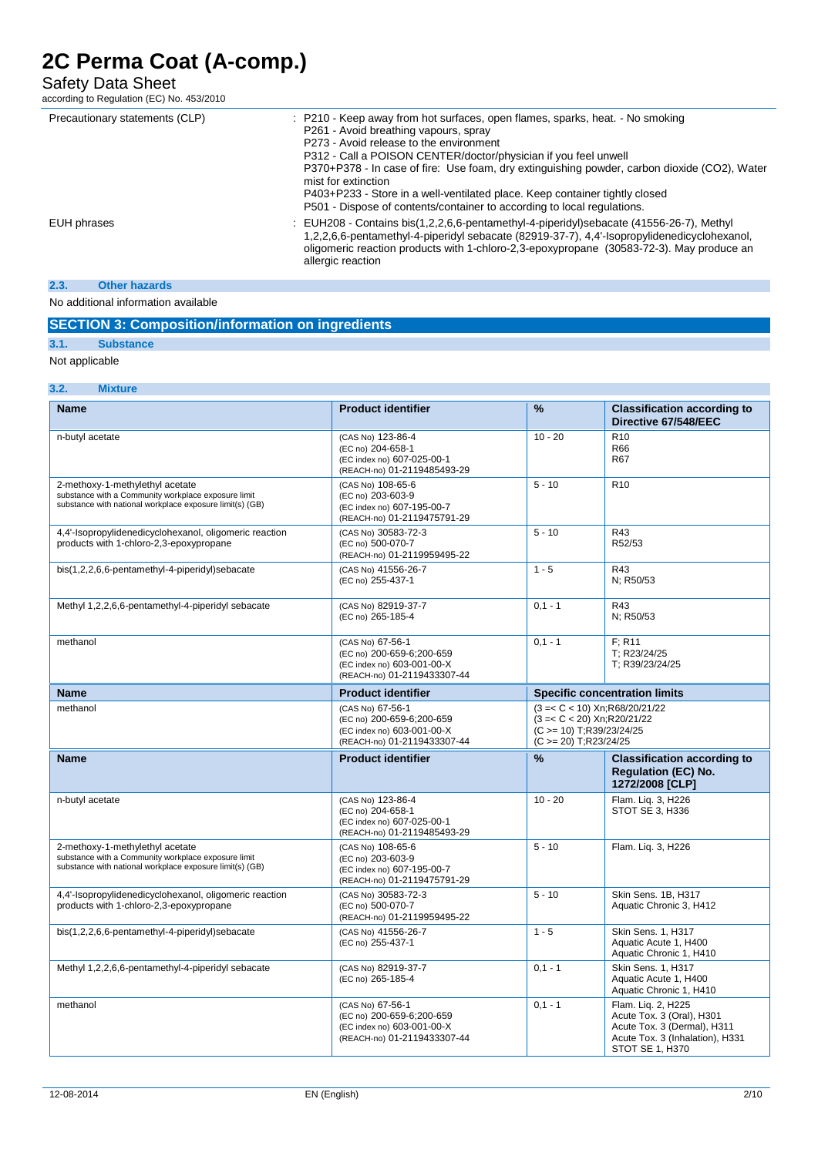## Safety Data Sheet

according to Regulation (EC) No. 453/2010

| Precautionary statements (CLP) | : P210 - Keep away from hot surfaces, open flames, sparks, heat. - No smoking<br>P261 - Avoid breathing vapours, spray<br>P273 - Avoid release to the environment<br>P312 - Call a POISON CENTER/doctor/physician if you feel unwell<br>P370+P378 - In case of fire: Use foam, dry extinguishing powder, carbon dioxide (CO2), Water<br>mist for extinction<br>P403+P233 - Store in a well-ventilated place. Keep container tightly closed<br>P501 - Dispose of contents/container to according to local regulations. |
|--------------------------------|-----------------------------------------------------------------------------------------------------------------------------------------------------------------------------------------------------------------------------------------------------------------------------------------------------------------------------------------------------------------------------------------------------------------------------------------------------------------------------------------------------------------------|
| EUH phrases                    | : EUH208 - Contains bis(1,2,2,6,6-pentamethyl-4-piperidyl)sebacate (41556-26-7), Methyl<br>1,2,2,6,6-pentamethyl-4-piperidyl sebacate (82919-37-7), 4,4'-lsopropylidenedicyclohexanol,<br>oligomeric reaction products with 1-chloro-2,3-epoxypropane (30583-72-3). May produce an<br>allergic reaction                                                                                                                                                                                                               |
| 2.3.<br><b>Other hazards</b>   |                                                                                                                                                                                                                                                                                                                                                                                                                                                                                                                       |

## No additional information available

## **SECTION 3: Composition/information on ingredients**

## **3.1. Substance**

Not applicable

### **3.2. Mixture**

| <b>Name</b>                                                                                                                                        | <b>Product identifier</b>                                                                                  | $\frac{0}{6}$                                                                                                                  | <b>Classification according to</b><br>Directive 67/548/EEC                                                                           |
|----------------------------------------------------------------------------------------------------------------------------------------------------|------------------------------------------------------------------------------------------------------------|--------------------------------------------------------------------------------------------------------------------------------|--------------------------------------------------------------------------------------------------------------------------------------|
| n-butyl acetate                                                                                                                                    | (CAS No) 123-86-4<br>(EC no) 204-658-1<br>(EC index no) 607-025-00-1<br>(REACH-no) 01-2119485493-29        | $10 - 20$                                                                                                                      | R <sub>10</sub><br>R66<br>R67                                                                                                        |
| 2-methoxy-1-methylethyl acetate<br>substance with a Community workplace exposure limit<br>substance with national workplace exposure limit(s) (GB) | (CAS No) 108-65-6<br>(EC no) 203-603-9<br>(EC index no) 607-195-00-7<br>(REACH-no) 01-2119475791-29        | $5 - 10$                                                                                                                       | R <sub>10</sub>                                                                                                                      |
| 4,4'-Isopropylidenedicyclohexanol, oligomeric reaction<br>products with 1-chloro-2,3-epoxypropane                                                  | (CAS No) 30583-72-3<br>(EC no) 500-070-7<br>(REACH-no) 01-2119959495-22                                    | $5 - 10$                                                                                                                       | R43<br>R52/53                                                                                                                        |
| bis(1,2,2,6,6-pentamethyl-4-piperidyl)sebacate                                                                                                     | (CAS No) 41556-26-7<br>(EC no) 255-437-1                                                                   | $1 - 5$                                                                                                                        | R43<br>N; R50/53                                                                                                                     |
| Methyl 1,2,2,6,6-pentamethyl-4-piperidyl sebacate                                                                                                  | (CAS No) 82919-37-7<br>(EC no) 265-185-4                                                                   | $0.1 - 1$                                                                                                                      | R43<br>N; R50/53                                                                                                                     |
| methanol                                                                                                                                           | (CAS No) 67-56-1<br>(EC no) 200-659-6;200-659<br>(EC index no) 603-001-00-X<br>(REACH-no) 01-2119433307-44 | $0,1 - 1$                                                                                                                      | F: R11<br>T; R23/24/25<br>T; R39/23/24/25                                                                                            |
| <b>Name</b>                                                                                                                                        | <b>Product identifier</b>                                                                                  | <b>Specific concentration limits</b>                                                                                           |                                                                                                                                      |
| methanol                                                                                                                                           | (CAS No) 67-56-1<br>(EC no) 200-659-6;200-659<br>(EC index no) 603-001-00-X<br>(REACH-no) 01-2119433307-44 | $(3 = < C < 10)$ Xn; R68/20/21/22<br>$(3 = < C < 20)$ Xn; R20/21/22<br>$(C \ge 10)$ T;R39/23/24/25<br>$(C \ge 20)$ T;R23/24/25 |                                                                                                                                      |
| <b>Name</b>                                                                                                                                        | <b>Product identifier</b>                                                                                  | %                                                                                                                              | <b>Classification according to</b><br><b>Regulation (EC) No.</b><br>1272/2008 [CLP]                                                  |
| n-butyl acetate                                                                                                                                    | (CAS No) 123-86-4<br>(EC no) 204-658-1<br>(EC index no) 607-025-00-1<br>(REACH-no) 01-2119485493-29        | $10 - 20$                                                                                                                      | Flam. Lig. 3, H226<br>STOT SE 3, H336                                                                                                |
| 2-methoxy-1-methylethyl acetate<br>substance with a Community workplace exposure limit<br>substance with national workplace exposure limit(s) (GB) | (CAS No) 108-65-6<br>(EC no) 203-603-9<br>(EC index no) 607-195-00-7<br>(REACH-no) 01-2119475791-29        | $5 - 10$                                                                                                                       | Flam. Lig. 3, H226                                                                                                                   |
| 4,4'-Isopropylidenedicyclohexanol, oligomeric reaction<br>products with 1-chloro-2,3-epoxypropane                                                  | (CAS No) 30583-72-3<br>(EC no) 500-070-7<br>(REACH-no) 01-2119959495-22                                    | $5 - 10$                                                                                                                       | Skin Sens. 1B, H317<br>Aquatic Chronic 3, H412                                                                                       |
| bis(1,2,2,6,6-pentamethyl-4-piperidyl)sebacate                                                                                                     | (CAS No) 41556-26-7<br>(EC no) 255-437-1                                                                   | $1 - 5$                                                                                                                        | Skin Sens. 1, H317<br>Aquatic Acute 1, H400<br>Aquatic Chronic 1, H410                                                               |
| Methyl 1,2,2,6,6-pentamethyl-4-piperidyl sebacate                                                                                                  | (CAS No) 82919-37-7<br>(EC no) 265-185-4                                                                   | $0.1 - 1$                                                                                                                      | <b>Skin Sens. 1. H317</b><br>Aquatic Acute 1, H400<br>Aquatic Chronic 1, H410                                                        |
| methanol                                                                                                                                           | (CAS No) 67-56-1<br>(EC no) 200-659-6;200-659<br>(EC index no) 603-001-00-X<br>(REACH-no) 01-2119433307-44 | $0,1 - 1$                                                                                                                      | Flam. Lig. 2, H225<br>Acute Tox. 3 (Oral), H301<br>Acute Tox. 3 (Dermal), H311<br>Acute Tox. 3 (Inhalation), H331<br>STOT SE 1, H370 |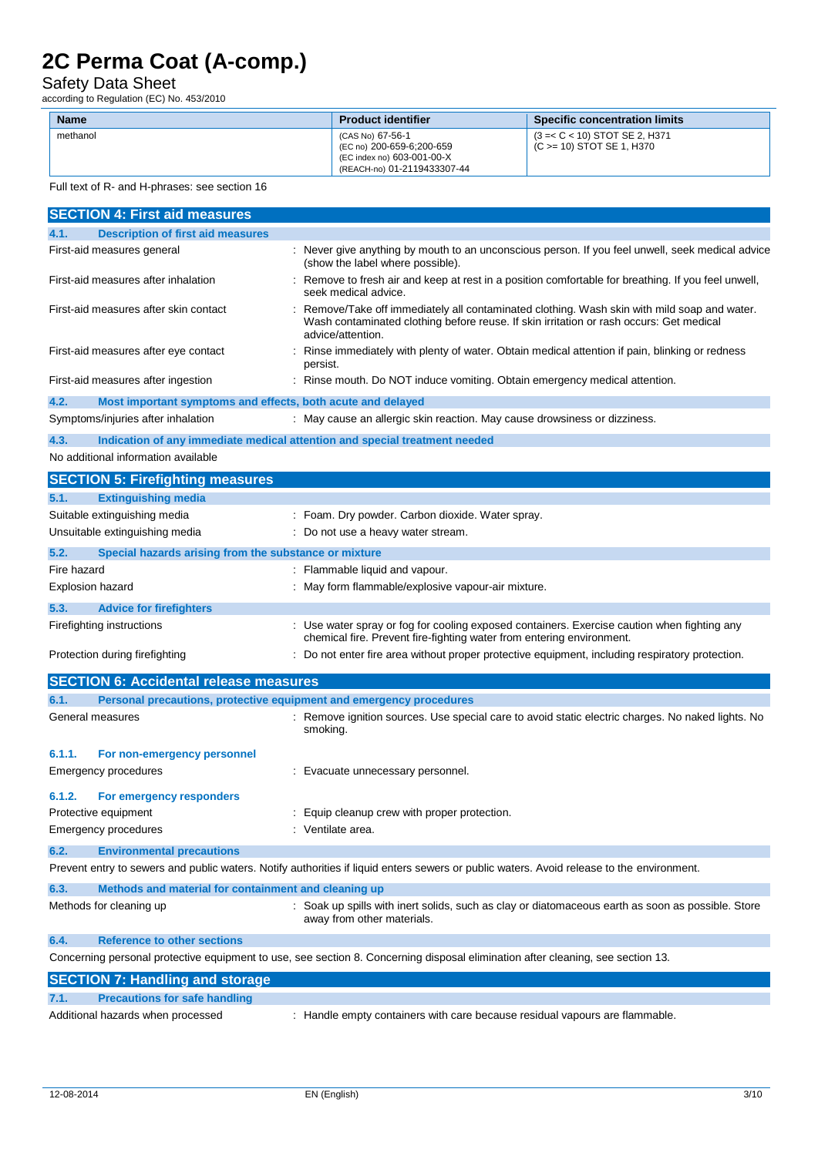## Safety Data Sheet

according to Regulation (EC) No. 453/2010

| <b>Name</b> | <b>Product identifier</b>                                                                                  | <b>Specific concentration limits</b>                          |
|-------------|------------------------------------------------------------------------------------------------------------|---------------------------------------------------------------|
| methanol    | (CAS No) 67-56-1<br>(EC no) 200-659-6;200-659<br>(EC index no) 603-001-00-X<br>(REACH-no) 01-2119433307-44 | $(3 = < C < 10)$ STOT SE 2, H371<br>(C >= 10) STOT SE 1, H370 |

Full text of R- and H-phrases: see section 16

| <b>SECTION 4: First aid measures</b>                                        |                                                                                                                                                                                                            |
|-----------------------------------------------------------------------------|------------------------------------------------------------------------------------------------------------------------------------------------------------------------------------------------------------|
| 4.1.<br><b>Description of first aid measures</b>                            |                                                                                                                                                                                                            |
| First-aid measures general                                                  | : Never give anything by mouth to an unconscious person. If you feel unwell, seek medical advice<br>(show the label where possible).                                                                       |
| First-aid measures after inhalation                                         | Remove to fresh air and keep at rest in a position comfortable for breathing. If you feel unwell,<br>seek medical advice.                                                                                  |
| First-aid measures after skin contact                                       | Remove/Take off immediately all contaminated clothing. Wash skin with mild soap and water.<br>Wash contaminated clothing before reuse. If skin irritation or rash occurs: Get medical<br>advice/attention. |
| First-aid measures after eye contact                                        | Rinse immediately with plenty of water. Obtain medical attention if pain, blinking or redness<br>persist.                                                                                                  |
| First-aid measures after ingestion                                          | : Rinse mouth. Do NOT induce vomiting. Obtain emergency medical attention.                                                                                                                                 |
| 4.2.<br>Most important symptoms and effects, both acute and delayed         |                                                                                                                                                                                                            |
| Symptoms/injuries after inhalation                                          | May cause an allergic skin reaction. May cause drowsiness or dizziness.                                                                                                                                    |
| 4.3.                                                                        | Indication of any immediate medical attention and special treatment needed                                                                                                                                 |
| No additional information available                                         |                                                                                                                                                                                                            |
| <b>SECTION 5: Firefighting measures</b>                                     |                                                                                                                                                                                                            |
| 5.1.<br><b>Extinguishing media</b>                                          |                                                                                                                                                                                                            |
| Suitable extinguishing media                                                | : Foam. Dry powder. Carbon dioxide. Water spray.                                                                                                                                                           |
| Unsuitable extinguishing media                                              | : Do not use a heavy water stream.                                                                                                                                                                         |
| 5.2.<br>Special hazards arising from the substance or mixture               |                                                                                                                                                                                                            |
| Fire hazard                                                                 | : Flammable liquid and vapour.                                                                                                                                                                             |
| <b>Explosion hazard</b>                                                     | May form flammable/explosive vapour-air mixture.                                                                                                                                                           |
| 5.3.<br><b>Advice for firefighters</b>                                      |                                                                                                                                                                                                            |
| Firefighting instructions                                                   | Use water spray or fog for cooling exposed containers. Exercise caution when fighting any                                                                                                                  |
|                                                                             | chemical fire. Prevent fire-fighting water from entering environment.                                                                                                                                      |
| Protection during firefighting                                              | Do not enter fire area without proper protective equipment, including respiratory protection.                                                                                                              |
| <b>SECTION 6: Accidental release measures</b>                               |                                                                                                                                                                                                            |
| Personal precautions, protective equipment and emergency procedures<br>6.1. |                                                                                                                                                                                                            |
| General measures                                                            | Remove ignition sources. Use special care to avoid static electric charges. No naked lights. No<br>smoking.                                                                                                |
| 6.1.1.<br>For non-emergency personnel                                       |                                                                                                                                                                                                            |
| Emergency procedures                                                        | : Evacuate unnecessary personnel.                                                                                                                                                                          |
| 6.1.2.<br>For emergency responders                                          |                                                                                                                                                                                                            |
| Protective equipment                                                        | : Equip cleanup crew with proper protection.                                                                                                                                                               |
| <b>Emergency procedures</b>                                                 | : Ventilate area.                                                                                                                                                                                          |
| <b>Environmental precautions</b><br>6.2.                                    |                                                                                                                                                                                                            |
|                                                                             | Prevent entry to sewers and public waters. Notify authorities if liquid enters sewers or public waters. Avoid release to the environment.                                                                  |
| 6.3.<br>Methods and material for containment and cleaning up                |                                                                                                                                                                                                            |
| Methods for cleaning up                                                     | : Soak up spills with inert solids, such as clay or diatomaceous earth as soon as possible. Store<br>away from other materials.                                                                            |
| 6.4.<br><b>Reference to other sections</b>                                  |                                                                                                                                                                                                            |
|                                                                             | Concerning personal protective equipment to use, see section 8. Concerning disposal elimination after cleaning, see section 13.                                                                            |
| <b>SECTION 7: Handling and storage</b>                                      |                                                                                                                                                                                                            |
| 7.1.<br><b>Precautions for safe handling</b>                                |                                                                                                                                                                                                            |
| Additional hazards when processed                                           | : Handle empty containers with care because residual vapours are flammable.                                                                                                                                |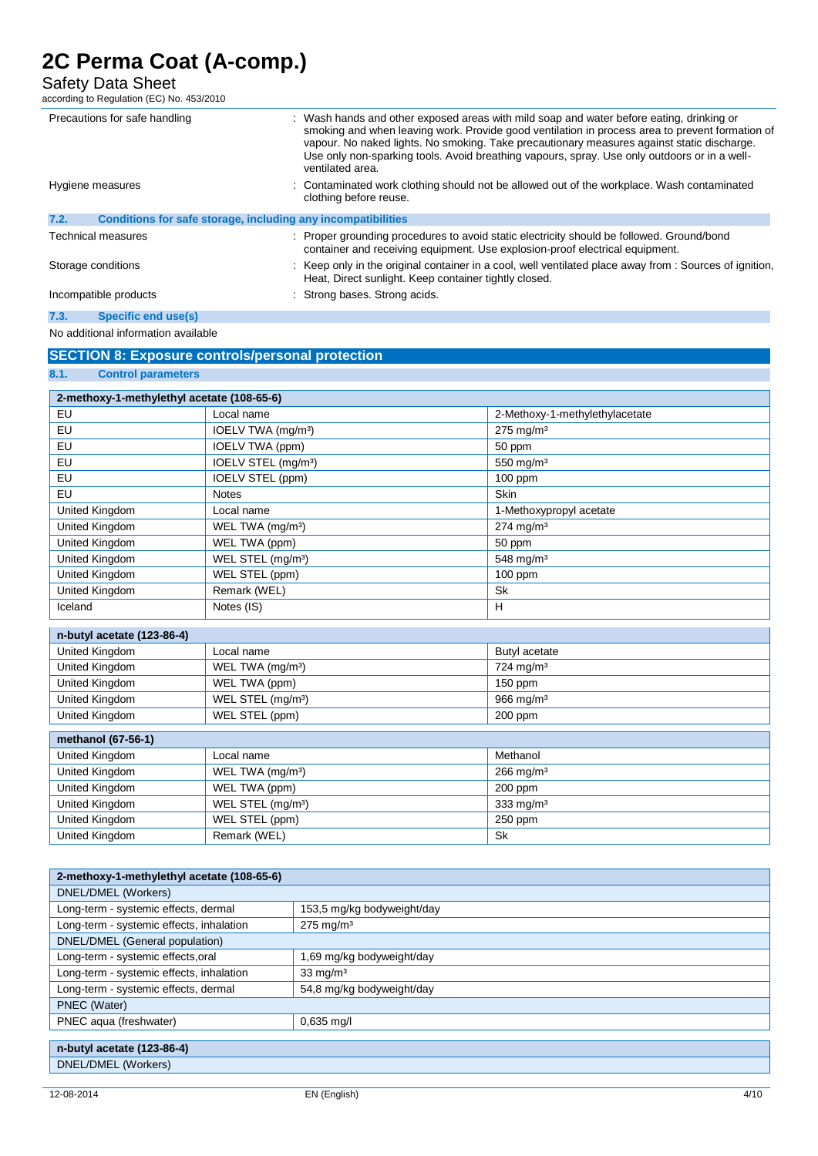Safety Data Sheet

according to Regulation (EC) No. 453/2010

|                    | Precautions for safe handling                                | : Wash hands and other exposed areas with mild soap and water before eating, drinking or<br>smoking and when leaving work. Provide good ventilation in process area to prevent formation of<br>vapour. No naked lights. No smoking. Take precautionary measures against static discharge.<br>Use only non-sparking tools. Avoid breathing vapours, spray. Use only outdoors or in a well-<br>ventilated area. |
|--------------------|--------------------------------------------------------------|---------------------------------------------------------------------------------------------------------------------------------------------------------------------------------------------------------------------------------------------------------------------------------------------------------------------------------------------------------------------------------------------------------------|
| Hygiene measures   |                                                              | : Contaminated work clothing should not be allowed out of the workplace. Wash contaminated<br>clothing before reuse.                                                                                                                                                                                                                                                                                          |
| 7.2.               | Conditions for safe storage, including any incompatibilities |                                                                                                                                                                                                                                                                                                                                                                                                               |
|                    | <b>Technical measures</b>                                    | : Proper grounding procedures to avoid static electricity should be followed. Ground/bond<br>container and receiving equipment. Use explosion-proof electrical equipment.                                                                                                                                                                                                                                     |
| Storage conditions |                                                              | : Keep only in the original container in a cool, well ventilated place away from : Sources of ignition,<br>Heat, Direct sunlight. Keep container tightly closed.                                                                                                                                                                                                                                              |
|                    | Incompatible products                                        | : Strong bases. Strong acids.                                                                                                                                                                                                                                                                                                                                                                                 |
| 7.3.               | Specific end use(s)                                          |                                                                                                                                                                                                                                                                                                                                                                                                               |

### No additional information available

**8.1. Control parameters**

## **SECTION 8: Exposure controls/personal protection**

| 2-methoxy-1-methylethyl acetate (108-65-6) |                                 |                                |  |
|--------------------------------------------|---------------------------------|--------------------------------|--|
| EU                                         | Local name                      | 2-Methoxy-1-methylethylacetate |  |
| EU                                         | IOELV TWA (mg/m <sup>3</sup> )  | 275 mg/m <sup>3</sup>          |  |
| EU                                         | IOELV TWA (ppm)                 | 50 ppm                         |  |
| EU                                         | IOELV STEL (mg/m <sup>3</sup> ) | 550 mg/m <sup>3</sup>          |  |
| EU                                         | IOELV STEL (ppm)                | 100 ppm                        |  |
| EU                                         | <b>Notes</b>                    | Skin                           |  |
| United Kingdom                             | Local name                      | 1-Methoxypropyl acetate        |  |
| United Kingdom                             | WEL TWA (mg/m <sup>3</sup> )    | $274$ mg/m <sup>3</sup>        |  |
| United Kingdom                             | WEL TWA (ppm)                   | 50 ppm                         |  |
| United Kingdom                             | WEL STEL (mg/m <sup>3</sup> )   | 548 mg/m <sup>3</sup>          |  |
| United Kingdom                             | WEL STEL (ppm)                  | $100$ ppm                      |  |
| United Kingdom                             | Remark (WEL)                    | <b>Sk</b>                      |  |
| Iceland                                    | Notes (IS)                      | H                              |  |
| n-butyl acetate (123-86-4)                 |                                 |                                |  |
| United Kingdom                             | Local name                      | Butyl acetate                  |  |
| United Kingdom                             | WEL TWA (mg/m <sup>3</sup> )    | 724 mg/m <sup>3</sup>          |  |
| United Kingdom                             | WEL TWA (ppm)                   | 150 ppm                        |  |
| United Kingdom                             | WEL STEL (mg/m <sup>3</sup> )   | 966 mg/m <sup>3</sup>          |  |
| United Kingdom                             | WEL STEL (ppm)                  | 200 ppm                        |  |
| methanol (67-56-1)                         |                                 |                                |  |
| United Kingdom                             | Local name                      | Methanol                       |  |
| United Kingdom                             | WEL TWA (mg/m <sup>3</sup> )    | $266$ mg/m <sup>3</sup>        |  |
| United Kingdom                             | WEL TWA (ppm)                   | 200 ppm                        |  |
| United Kingdom                             | WEL STEL (mg/m <sup>3</sup> )   | 333 mg/m <sup>3</sup>          |  |
| United Kingdom                             | WEL STEL (ppm)                  | 250 ppm                        |  |
| United Kingdom                             | Remark (WEL)                    | <b>Sk</b>                      |  |

| 2-methoxy-1-methylethyl acetate (108-65-6) |                            |  |
|--------------------------------------------|----------------------------|--|
| DNEL/DMEL (Workers)                        |                            |  |
| Long-term - systemic effects, dermal       | 153,5 mg/kg bodyweight/day |  |
| Long-term - systemic effects, inhalation   | $275 \text{ mg/m}^3$       |  |
| DNEL/DMEL (General population)             |                            |  |
| Long-term - systemic effects, oral         | 1,69 mg/kg bodyweight/day  |  |
| Long-term - systemic effects, inhalation   | $33 \text{ mg/m}^3$        |  |
| Long-term - systemic effects, dermal       | 54,8 mg/kg bodyweight/day  |  |
| PNEC (Water)                               |                            |  |
| PNEC aqua (freshwater)                     | $0.635$ mg/l               |  |
|                                            |                            |  |
| n-butyl acetate (123-86-4)                 |                            |  |
| DNEL/DMEL (Workers)                        |                            |  |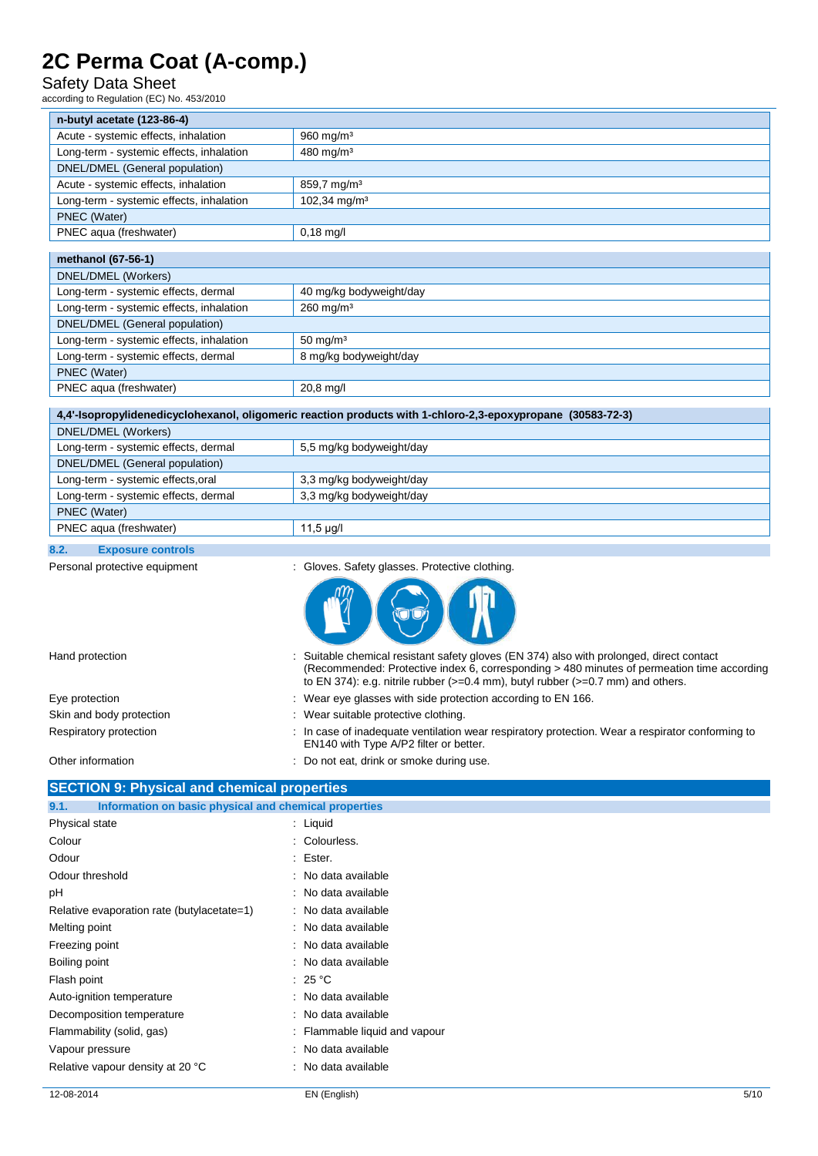## Safety Data Sheet

according to Regulation (EC) No. 453/2010

| n-butyl acetate (123-86-4)               |                          |
|------------------------------------------|--------------------------|
| Acute - systemic effects, inhalation     | $960 \text{ mg/m}^3$     |
| Long-term - systemic effects, inhalation | 480 mg/m <sup>3</sup>    |
| DNEL/DMEL (General population)           |                          |
| Acute - systemic effects, inhalation     | $859.7 \text{ mg/m}^3$   |
| Long-term - systemic effects, inhalation | 102,34 mg/m <sup>3</sup> |
| PNEC (Water)                             |                          |
| PNEC aqua (freshwater)                   | $0,18 \text{ mg/l}$      |
|                                          |                          |

| methanol (67-56-1)                       |                         |  |
|------------------------------------------|-------------------------|--|
| DNEL/DMEL (Workers)                      |                         |  |
| Long-term - systemic effects, dermal     | 40 mg/kg bodyweight/day |  |
| Long-term - systemic effects, inhalation | $260 \,\mathrm{mg/m^3}$ |  |
| DNEL/DMEL (General population)           |                         |  |
| Long-term - systemic effects, inhalation | $50 \text{ mg/m}^3$     |  |
| Long-term - systemic effects, dermal     | 8 mg/kg bodyweight/day  |  |
| PNEC (Water)                             |                         |  |
| PNEC aqua (freshwater)                   | $20,8 \,\mathrm{mg}/I$  |  |

### **4,4'-Isopropylidenedicyclohexanol, oligomeric reaction products with 1-chloro-2,3-epoxypropane (30583-72-3)**

| DNEL/DMEL (Workers)                  |                          |
|--------------------------------------|--------------------------|
| Long-term - systemic effects, dermal | 5.5 mg/kg bodyweight/day |
| DNEL/DMEL (General population)       |                          |
| Long-term - systemic effects, oral   | 3,3 mg/kg bodyweight/day |
| Long-term - systemic effects, dermal | 3,3 mg/kg bodyweight/day |
| PNEC (Water)                         |                          |
| PNEC agua (freshwater)               | 11,5 µg/l                |
|                                      |                          |

### **8.2. Exposure controls**

Personal protective equipment : Gloves. Safety glasses. Protective clothing.



| Hand protection                                    | : Suitable chemical resistant safety gloves (EN 374) also with prolonged, direct contact<br>(Recommended: Protective index 6, corresponding > 480 minutes of permeation time according<br>to EN 374): e.g. nitrile rubber $(>=0.4$ mm), butyl rubber $(>=0.7$ mm) and others. |
|----------------------------------------------------|-------------------------------------------------------------------------------------------------------------------------------------------------------------------------------------------------------------------------------------------------------------------------------|
| Eye protection                                     | : Wear eye glasses with side protection according to EN 166.                                                                                                                                                                                                                  |
| Skin and body protection                           | : Wear suitable protective clothing.                                                                                                                                                                                                                                          |
| Respiratory protection                             | : In case of inadequate ventilation wear respiratory protection. Wear a respirator conforming to<br>EN140 with Type A/P2 filter or better.                                                                                                                                    |
| Other information                                  | : Do not eat, drink or smoke during use.                                                                                                                                                                                                                                      |
| <b>SECTION 9: Physical and chemical properties</b> |                                                                                                                                                                                                                                                                               |

| Information on basic physical and chemical properties<br>9.1. |                               |  |
|---------------------------------------------------------------|-------------------------------|--|
| Physical state                                                | $:$ Liquid                    |  |
| Colour                                                        | : Colourless.                 |  |
| Odour                                                         | : Ester.                      |  |
| Odour threshold                                               | : No data available           |  |
| pH                                                            | : No data available           |  |
| Relative evaporation rate (butylacetate=1)                    | : No data available           |  |
| Melting point                                                 | : No data available           |  |
| Freezing point                                                | : No data available           |  |
| Boiling point                                                 | : No data available           |  |
| Flash point                                                   | : 25 $^{\circ}$ C             |  |
| Auto-ignition temperature                                     | : No data available           |  |
| Decomposition temperature                                     | : No data available           |  |
| Flammability (solid, gas)                                     | : Flammable liquid and vapour |  |
| Vapour pressure                                               | : No data available           |  |
| Relative vapour density at 20 °C                              | : No data available           |  |
|                                                               |                               |  |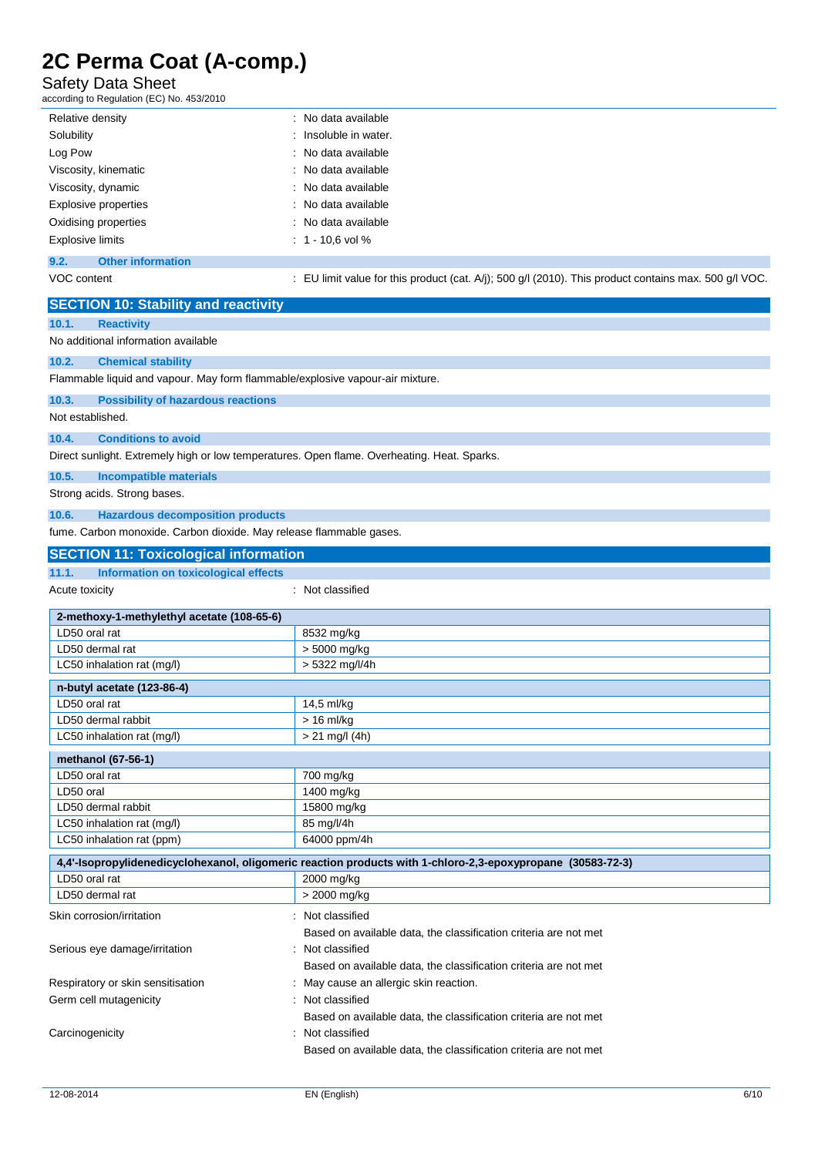## Safety Data Sheet

according to Regulation (EC) No. 453/2010

| Relative density            | : No data available   |
|-----------------------------|-----------------------|
| Solubility                  | : Insoluble in water. |
| Log Pow                     | : No data available   |
| Viscosity, kinematic        | : No data available   |
| Viscosity, dynamic          | : No data available   |
| <b>Explosive properties</b> | : No data available   |
| Oxidising properties        | : No data available   |
| <b>Explosive limits</b>     | $: 1 - 10.6$ vol %    |
| ___                         |                       |

## **9.2. Other information**

VOC content : EU limit value for this product (cat. A/j); 500 g/l (2010). This product contains max. 500 g/l VOC.

| <b>SECTION 10: Stability and reactivity</b>                                                 |                                                                                                             |  |  |
|---------------------------------------------------------------------------------------------|-------------------------------------------------------------------------------------------------------------|--|--|
| <b>Reactivity</b><br>10.1.                                                                  |                                                                                                             |  |  |
| No additional information available                                                         |                                                                                                             |  |  |
| 10.2.<br><b>Chemical stability</b>                                                          |                                                                                                             |  |  |
| Flammable liquid and vapour. May form flammable/explosive vapour-air mixture.               |                                                                                                             |  |  |
| 10.3.<br><b>Possibility of hazardous reactions</b>                                          |                                                                                                             |  |  |
| Not established.                                                                            |                                                                                                             |  |  |
| 10.4.<br><b>Conditions to avoid</b>                                                         |                                                                                                             |  |  |
| Direct sunlight. Extremely high or low temperatures. Open flame. Overheating. Heat. Sparks. |                                                                                                             |  |  |
| 10.5.<br><b>Incompatible materials</b>                                                      |                                                                                                             |  |  |
| Strong acids. Strong bases.                                                                 |                                                                                                             |  |  |
| 10.6.<br><b>Hazardous decomposition products</b>                                            |                                                                                                             |  |  |
| fume. Carbon monoxide. Carbon dioxide. May release flammable gases.                         |                                                                                                             |  |  |
| <b>SECTION 11: Toxicological information</b>                                                |                                                                                                             |  |  |
| 11.1.<br>Information on toxicological effects                                               |                                                                                                             |  |  |
| Acute toxicity                                                                              | : Not classified                                                                                            |  |  |
| 2-methoxy-1-methylethyl acetate (108-65-6)                                                  |                                                                                                             |  |  |
| LD50 oral rat                                                                               | 8532 mg/kg                                                                                                  |  |  |
| LD50 dermal rat                                                                             | > 5000 mg/kg                                                                                                |  |  |
| LC50 inhalation rat (mg/l)                                                                  | > 5322 mg/l/4h                                                                                              |  |  |
| n-butyl acetate (123-86-4)                                                                  |                                                                                                             |  |  |
| LD50 oral rat<br>14,5 ml/kg                                                                 |                                                                                                             |  |  |
| LD50 dermal rabbit                                                                          | $> 16$ ml/kg                                                                                                |  |  |
| $> 21$ mg/l (4h)<br>LC50 inhalation rat (mg/l)                                              |                                                                                                             |  |  |
| methanol (67-56-1)                                                                          |                                                                                                             |  |  |
| LD50 oral rat                                                                               | 700 mg/kg                                                                                                   |  |  |
| LD50 oral<br>1400 mg/kg                                                                     |                                                                                                             |  |  |
| 15800 mg/kg<br>LD50 dermal rabbit                                                           |                                                                                                             |  |  |
| 85 mg/l/4h<br>LC50 inhalation rat (mg/l)                                                    |                                                                                                             |  |  |
| 64000 ppm/4h<br>LC50 inhalation rat (ppm)                                                   |                                                                                                             |  |  |
|                                                                                             | 4,4'-Isopropylidenedicyclohexanol, oligomeric reaction products with 1-chloro-2,3-epoxypropane (30583-72-3) |  |  |
| LD50 oral rat                                                                               | 2000 mg/kg                                                                                                  |  |  |
| LD50 dermal rat                                                                             | > 2000 mg/kg                                                                                                |  |  |
| Skin corrosion/irritation                                                                   | : Not classified                                                                                            |  |  |
|                                                                                             | Based on available data, the classification criteria are not met                                            |  |  |
| Serious eye damage/irritation                                                               | : Not classified                                                                                            |  |  |
| Based on available data, the classification criteria are not met                            |                                                                                                             |  |  |
| Respiratory or skin sensitisation<br>May cause an allergic skin reaction.                   |                                                                                                             |  |  |
| Germ cell mutagenicity<br>: Not classified                                                  |                                                                                                             |  |  |
| Based on available data, the classification criteria are not met                            |                                                                                                             |  |  |
| : Not classified<br>Carcinogenicity                                                         |                                                                                                             |  |  |
| Based on available data, the classification criteria are not met                            |                                                                                                             |  |  |
|                                                                                             |                                                                                                             |  |  |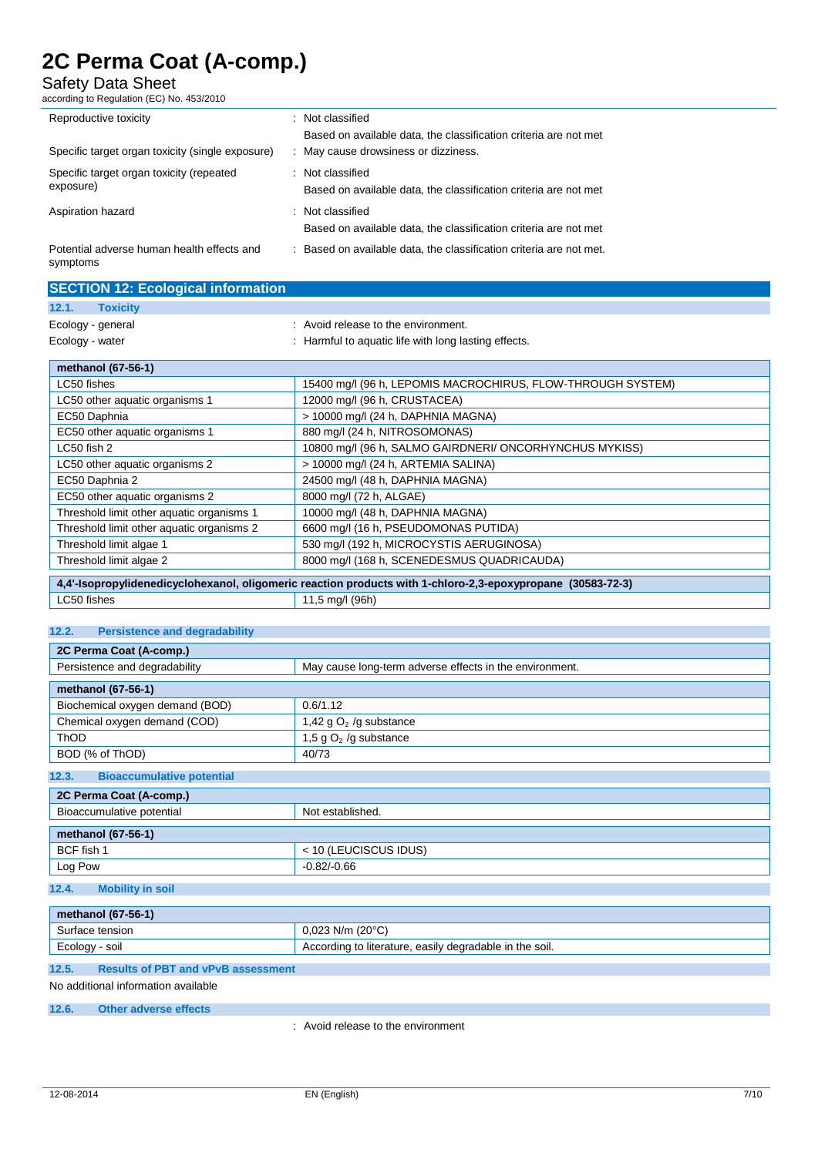Safety Data Sheet

according to Regulation (EC) No. 453/2010

| Reproductive toxicity                                  | ٠ | Not classified                                                    |
|--------------------------------------------------------|---|-------------------------------------------------------------------|
|                                                        |   | Based on available data, the classification criteria are not met  |
| Specific target organ toxicity (single exposure)       | ÷ | May cause drowsiness or dizziness.                                |
| Specific target organ toxicity (repeated<br>exposure)  |   | : Not classified                                                  |
|                                                        |   | Based on available data, the classification criteria are not met  |
| Aspiration hazard                                      |   | : Not classified                                                  |
|                                                        |   | Based on available data, the classification criteria are not met  |
| Potential adverse human health effects and<br>symptoms |   | Based on available data, the classification criteria are not met. |

| <b>SECTION 12: Ecological information</b> |                                                             |
|-------------------------------------------|-------------------------------------------------------------|
| <b>Toxicity</b><br>12.1.                  |                                                             |
| Ecology - general                         | : Avoid release to the environment.                         |
| Ecology - water                           | : Harmful to aquatic life with long lasting effects.        |
| methanol (67-56-1)                        |                                                             |
| LC50 fishes                               | 15400 mg/l (96 h, LEPOMIS MACROCHIRUS, FLOW-THROUGH SYSTEM) |
| LC50 other aquatic organisms 1            | 12000 mg/l (96 h, CRUSTACEA)                                |
| EC50 Daphnia                              | > 10000 mg/l (24 h, DAPHNIA MAGNA)                          |
| EC50 other aquatic organisms 1            | 880 mg/l (24 h, NITROSOMONAS)                               |
| LC50 fish 2                               | 10800 mg/l (96 h, SALMO GAIRDNERI/ ONCORHYNCHUS MYKISS)     |
| LC50 other aquatic organisms 2            | > 10000 mg/l (24 h, ARTEMIA SALINA)                         |
| EC50 Daphnia 2                            | 24500 mg/l (48 h, DAPHNIA MAGNA)                            |
| EC50 other aquatic organisms 2            | 8000 mg/l (72 h, ALGAE)                                     |
| Threshold limit other aquatic organisms 1 | 10000 mg/l (48 h, DAPHNIA MAGNA)                            |
| Threshold limit other aquatic organisms 2 | 6600 mg/l (16 h, PSEUDOMONAS PUTIDA)                        |
| Threshold limit algae 1                   | 530 mg/l (192 h, MICROCYSTIS AERUGINOSA)                    |
| Threshold limit algae 2                   | 8000 mg/l (168 h, SCENEDESMUS QUADRICAUDA)                  |

|             | 4,4'-Isopropylidenedicyclohexanol, oligomeric reaction products with 1-chloro-2,3-epoxypropane (30583-72-3) |
|-------------|-------------------------------------------------------------------------------------------------------------|
| LC50 fishes | 11,5 mg/l (96h)                                                                                             |

### **12.2. Persistence and degradability**

| 2C Perma Coat (A-comp.)                   |                                                         |  |  |
|-------------------------------------------|---------------------------------------------------------|--|--|
| Persistence and degradability             | May cause long-term adverse effects in the environment. |  |  |
| methanol (67-56-1)                        |                                                         |  |  |
| Biochemical oxygen demand (BOD)           | 0.6/1.12                                                |  |  |
| Chemical oxygen demand (COD)              | 1,42 g $O2$ /g substance                                |  |  |
| <b>ThOD</b>                               | 1,5 g $O_2$ /g substance                                |  |  |
| BOD (% of ThOD)                           | 40/73                                                   |  |  |
| <b>Bioaccumulative potential</b><br>12.3. |                                                         |  |  |
| 2C Perma Coat (A-comp.)                   |                                                         |  |  |
| Bioaccumulative potential                 | Not established.                                        |  |  |
| methanol (67-56-1)                        |                                                         |  |  |
| BCF fish 1                                | < 10 (LEUCISCUS IDUS)                                   |  |  |
| Log Pow                                   | $-0.82/-0.66$                                           |  |  |
| 12.4.<br><b>Mobility in soil</b>          |                                                         |  |  |
| methanol (67-56-1)                        |                                                         |  |  |

| 111 - 00 - 101 101 101 11 |                                                                                                         |  |
|---------------------------|---------------------------------------------------------------------------------------------------------|--|
| Surface tension           | . (20°C`<br>N/m<br>ט∠ט.י                                                                                |  |
| Ecology<br>soil           | dearadable in<br>∠ in the <i>'</i><br>easilv<br>≅soil.<br>ordina<br>literature.<br>$+ \sim$<br>Acc<br>w |  |

## **12.5. Results of PBT and vPvB assessment**

No additional information available

### **12.6. Other adverse effects**

: Avoid release to the environment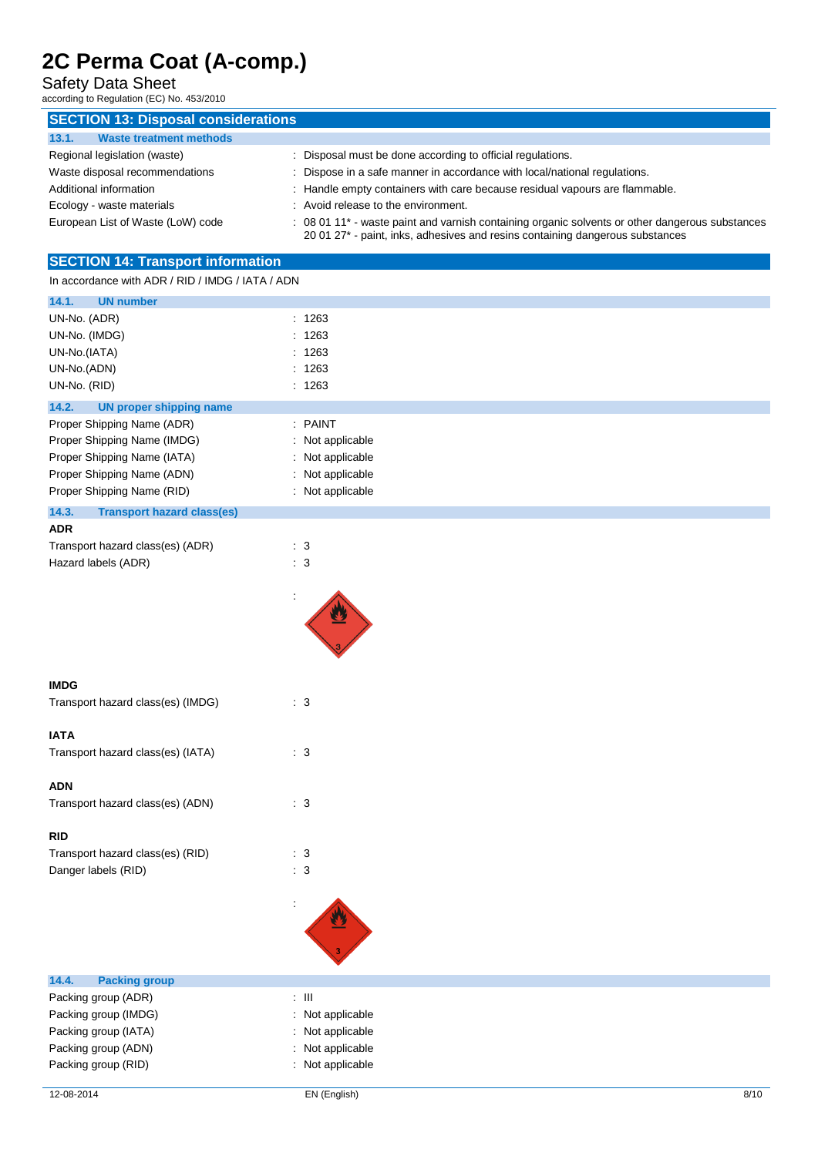Safety Data Sheet

according to Regulation (EC) No. 453/2010

| <b>SECTION 13: Disposal considerations</b> |                                                                                                                                                                                  |
|--------------------------------------------|----------------------------------------------------------------------------------------------------------------------------------------------------------------------------------|
| <b>Waste treatment methods</b><br>13.1.    |                                                                                                                                                                                  |
| Regional legislation (waste)               | Disposal must be done according to official regulations.                                                                                                                         |
| Waste disposal recommendations             | Dispose in a safe manner in accordance with local/national regulations.                                                                                                          |
| Additional information                     | Handle empty containers with care because residual vapours are flammable.                                                                                                        |
| Ecology - waste materials                  | Avoid release to the environment.                                                                                                                                                |
| European List of Waste (LoW) code          | : 08 01 11* - waste paint and varnish containing organic solvents or other dangerous substances<br>20 01 27* - paint, inks, adhesives and resins containing dangerous substances |
| <b>SECTION 14: Transport information</b>   |                                                                                                                                                                                  |

In accordance with ADR / RID / IMDG / IATA / ADN

| abbordance with none had a mood and a more                                                                                                           |                                                                                         |
|------------------------------------------------------------------------------------------------------------------------------------------------------|-----------------------------------------------------------------------------------------|
| <b>UN number</b><br>14.1.                                                                                                                            |                                                                                         |
| UN-No. (ADR)<br>UN-No. (IMDG)<br>t.<br>UN-No.(IATA)<br>÷.<br>UN-No.(ADN)<br>UN-No. (RID)                                                             | : 1263<br>1263<br>1263<br>: 1263<br>: 1263                                              |
| 14.2.<br><b>UN proper shipping name</b>                                                                                                              |                                                                                         |
| Proper Shipping Name (ADR)<br>Proper Shipping Name (IMDG)<br>Proper Shipping Name (IATA)<br>Proper Shipping Name (ADN)<br>Proper Shipping Name (RID) | : PAINT<br>: Not applicable<br>: Not applicable<br>: Not applicable<br>: Not applicable |
| 14.3.<br><b>Transport hazard class(es)</b>                                                                                                           |                                                                                         |
| <b>ADR</b><br>Transport hazard class(es) (ADR)<br>$\therefore$ 3<br>$\therefore$ 3<br>Hazard labels (ADR)                                            |                                                                                         |
| <b>IMDG</b><br>: 3<br>Transport hazard class(es) (IMDG)                                                                                              |                                                                                         |
|                                                                                                                                                      |                                                                                         |
| <b>IATA</b><br>: 3<br>Transport hazard class(es) (IATA)<br>ADN                                                                                       |                                                                                         |
| Transport hazard class(es) (ADN)<br>: 3                                                                                                              |                                                                                         |
| <b>RID</b><br>Transport hazard class(es) (RID)<br>$\therefore$ 3<br>Danger labels (RID)<br>: 3<br>t                                                  |                                                                                         |
| <b>Packing group</b><br>14.4.                                                                                                                        |                                                                                         |
| $\div$ III<br>Packing group (ADR)<br>Packing group (IMDG)<br>÷<br>Packing group (IATA)<br>Packing group (ADN)<br>÷<br>Packing group (RID)            | Not applicable<br>Not applicable<br>Not applicable<br>: Not applicable                  |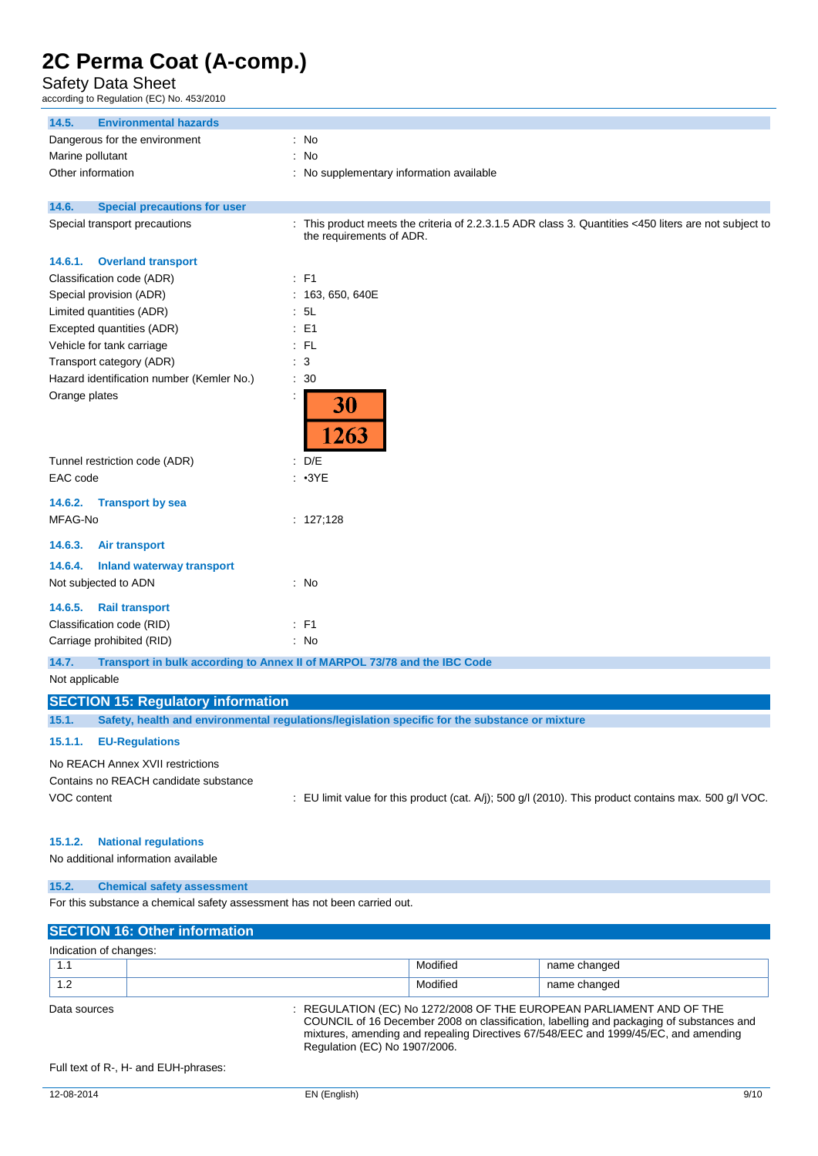Safety Data Sheet

according to Regulation (EC) No. 453/2010

| <b>Environmental hazards</b><br>14.5.                               |                                                                                                                                 |  |
|---------------------------------------------------------------------|---------------------------------------------------------------------------------------------------------------------------------|--|
| Dangerous for the environment                                       | : No                                                                                                                            |  |
| Marine pollutant                                                    | No<br>÷                                                                                                                         |  |
| Other information                                                   | No supplementary information available                                                                                          |  |
|                                                                     |                                                                                                                                 |  |
| 14.6.<br><b>Special precautions for user</b>                        |                                                                                                                                 |  |
| Special transport precautions                                       | This product meets the criteria of 2.2.3.1.5 ADR class 3. Quantities <450 liters are not subject to<br>the requirements of ADR. |  |
| <b>Overland transport</b><br>14.6.1.                                |                                                                                                                                 |  |
| Classification code (ADR)                                           | $:$ F1                                                                                                                          |  |
| Special provision (ADR)                                             | 163, 650, 640E                                                                                                                  |  |
| Limited quantities (ADR)                                            | 5L                                                                                                                              |  |
| Excepted quantities (ADR)                                           | E <sub>1</sub><br>÷                                                                                                             |  |
| Vehicle for tank carriage                                           | $:$ FL                                                                                                                          |  |
| Transport category (ADR)                                            | : 3                                                                                                                             |  |
| Hazard identification number (Kemler No.)                           | 30                                                                                                                              |  |
| Orange plates                                                       | ÷<br>30<br>1263                                                                                                                 |  |
| Tunnel restriction code (ADR)                                       | D/E<br>÷                                                                                                                        |  |
| EAC code                                                            | : 3YE                                                                                                                           |  |
| <b>Transport by sea</b><br>14.6.2.                                  |                                                                                                                                 |  |
| MFAG-No                                                             | : 127;128                                                                                                                       |  |
| 14.6.3.<br><b>Air transport</b>                                     |                                                                                                                                 |  |
| 14.6.4.<br><b>Inland waterway transport</b><br>Not subjected to ADN | : No                                                                                                                            |  |
| <b>Rail transport</b><br>14.6.5.                                    |                                                                                                                                 |  |
| Classification code (RID)                                           | $E$ F1                                                                                                                          |  |
| Carriage prohibited (RID)                                           | : No                                                                                                                            |  |
| 14.7.                                                               | Transport in bulk according to Annex II of MARPOL 73/78 and the IBC Code                                                        |  |
|                                                                     |                                                                                                                                 |  |

### Not applicable

## **SECTION 15: Regulatory information**

**15.1. Safety, health and environmental regulations/legislation specific for the substance or mixture**

### **15.1.1. EU-Regulations**

No REACH Annex XVII restrictions Contains no REACH candidate substance

VOC content : EU limit value for this product (cat. A/j); 500 g/l (2010). This product contains max. 500 g/l VOC.

#### **15.1.2. National regulations**

No additional information available

#### **15.2. Chemical safety assessment**

For this substance a chemical safety assessment has not been carried out.

| <b>SECTION 16: Other information</b> |                                                                                                                                                                                                                                                                                          |              |  |
|--------------------------------------|------------------------------------------------------------------------------------------------------------------------------------------------------------------------------------------------------------------------------------------------------------------------------------------|--------------|--|
| Indication of changes:               |                                                                                                                                                                                                                                                                                          |              |  |
|                                      | Modified                                                                                                                                                                                                                                                                                 | name changed |  |
| 1.2                                  | Modified                                                                                                                                                                                                                                                                                 | name changed |  |
| Data sources                         | : REGULATION (EC) No 1272/2008 OF THE EUROPEAN PARLIAMENT AND OF THE<br>COUNCIL of 16 December 2008 on classification, labelling and packaging of substances and<br>mixtures, amending and repealing Directives 67/548/EEC and 1999/45/EC, and amending<br>Regulation (EC) No 1907/2006. |              |  |

Full text of R-, H- and EUH-phrases: